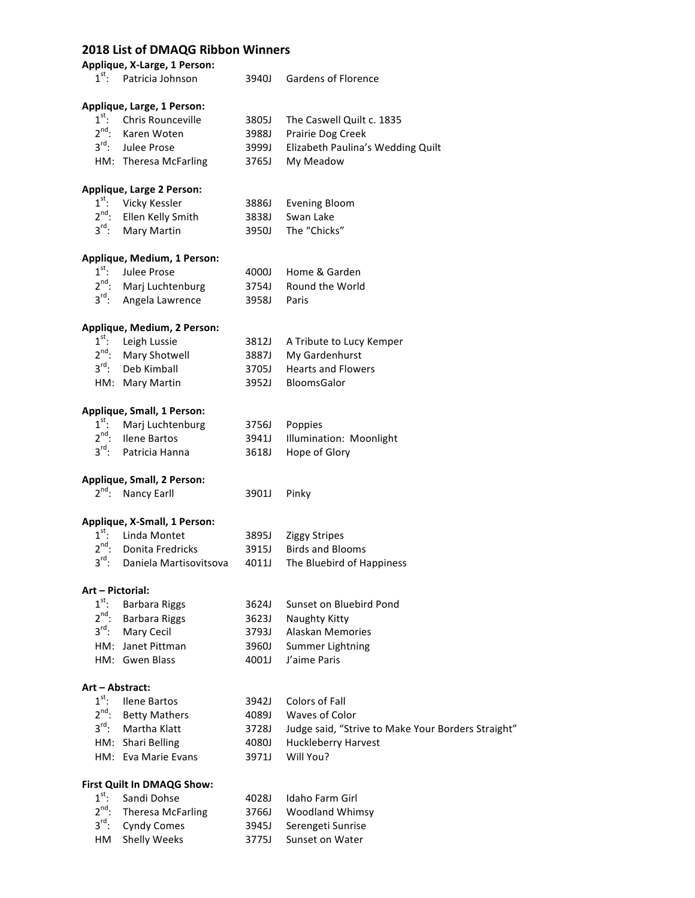## **2018 List of DMAQG Ribbon Winners**

**Applique, X-Large, 1 Person:**

| $1^{\text{st}}$ : | Patricia Johnson                          | 3940J | Gardens of Florence                                |
|-------------------|-------------------------------------------|-------|----------------------------------------------------|
|                   | Applique, Large, 1 Person:                |       |                                                    |
| $1^{\text{st}}$ : | Chris Rounceville                         | 3805J | The Caswell Quilt c. 1835                          |
| $2^{nd}$ :        | Karen Woten                               | 3988J | Prairie Dog Creek                                  |
| $3^{\text{rd}}$ : | Julee Prose                               | 3999J | Elizabeth Paulina's Wedding Quilt                  |
|                   |                                           |       |                                                    |
|                   | HM: Theresa McFarling                     | 3765J | My Meadow                                          |
|                   | Applique, Large 2 Person:                 |       |                                                    |
| $1^{\text{st}}$ : | Vicky Kessler                             | 3886J | <b>Evening Bloom</b>                               |
| $2^{nd}$ :        | Ellen Kelly Smith                         | 3838J | Swan Lake                                          |
| $3^{\text{rd}}$ : | Mary Martin                               | 3950J | The "Chicks"                                       |
|                   | Applique, Medium, 1 Person:               |       |                                                    |
| $1^{\text{st}}$ : | Julee Prose                               | 4000J | Home & Garden                                      |
| $2^{nd}$ :        | Marj Luchtenburg                          | 3754J | <b>Round the World</b>                             |
| $3^{\text{rd}}$ : | Angela Lawrence                           | 3958J | Paris                                              |
|                   | Applique, Medium, 2 Person:               |       |                                                    |
| $1^{\text{st}}$ : | Leigh Lussie                              | 3812J | A Tribute to Lucy Kemper                           |
| $2^{nd}$ :        | Mary Shotwell                             | 3887J | My Gardenhurst                                     |
| $3^{\text{rd}}$ : | Deb Kimball                               | 3705J | <b>Hearts and Flowers</b>                          |
|                   | HM: Mary Martin                           | 3952J | <b>BloomsGalor</b>                                 |
|                   |                                           |       |                                                    |
|                   | Applique, Small, 1 Person:                |       |                                                    |
| $1^{\text{st}}$ : | Marj Luchtenburg                          | 3756J | Poppies                                            |
| $2^{nd}$ :        | Ilene Bartos                              | 3941J | Illumination: Moonlight                            |
| $3^{\text{rd}}$ : | Patricia Hanna                            | 3618J | Hope of Glory                                      |
|                   | Applique, Small, 2 Person:                |       |                                                    |
| $2^{nd}$ :        | Nancy Earll                               | 3901J | Pinky                                              |
|                   | Applique, X-Small, 1 Person:              |       |                                                    |
| $1^{\text{st}}$ : | Linda Montet                              | 3895J |                                                    |
| $2^{nd}$ :        | Donita Fredricks                          | 3915J | <b>Ziggy Stripes</b><br><b>Birds and Blooms</b>    |
| $3^{\text{rd}}$ : | Daniela Martisovitsova                    |       |                                                    |
|                   |                                           | 4011J | The Bluebird of Happiness                          |
| Art - Pictorial:  |                                           |       |                                                    |
| $1^{\text{st}}$ : | <b>Barbara Riggs</b>                      | 3624J | Sunset on Bluebird Pond                            |
| $2^{nd}$ :        | <b>Barbara Riggs</b>                      | 3623J | Naughty Kitty                                      |
| $3^{\text{rd}}$ : | Mary Cecil                                | 3793J | Alaskan Memories                                   |
|                   | HM: Janet Pittman                         | 3960J | Summer Lightning                                   |
|                   | HM: Gwen Blass                            | 4001J | J'aime Paris                                       |
| Art - Abstract:   |                                           |       |                                                    |
| $1^{\text{st}}$ : | <b>Ilene Bartos</b>                       | 3942J | Colors of Fall                                     |
| $2^{nd}$ :        | <b>Betty Mathers</b>                      | 4089J | <b>Waves of Color</b>                              |
| $3^{\text{rd}}$ : | Martha Klatt                              | 3728J | Judge said, "Strive to Make Your Borders Straight" |
|                   | HM: Shari Belling                         | 4080J | <b>Huckleberry Harvest</b>                         |
|                   | HM: Eva Marie Evans                       | 3971J | Will You?                                          |
|                   |                                           |       |                                                    |
| $1^{\text{st}}$ : | First Quilt In DMAQG Show:<br>Sandi Dohse | 4028J | Idaho Farm Girl                                    |
| $2^{nd}$ :        |                                           |       |                                                    |
| $3^{\text{rd}}$ : | <b>Theresa McFarling</b>                  | 3766J | Woodland Whimsy                                    |
|                   | <b>Cyndy Comes</b>                        | 3945J | Serengeti Sunrise                                  |
| HM                | <b>Shelly Weeks</b>                       | 3775J | Sunset on Water                                    |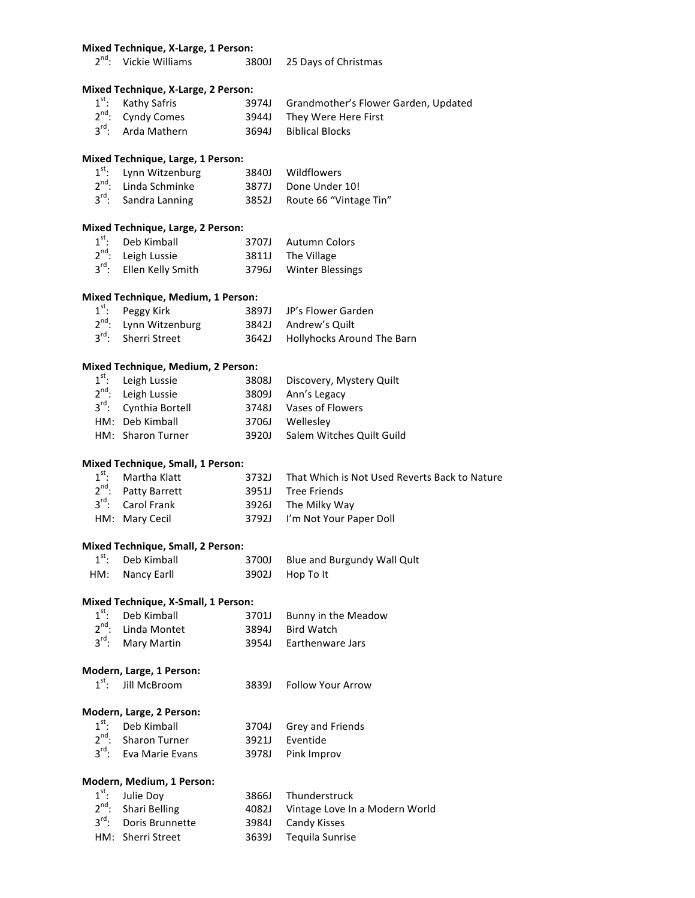#### **Mixed Technique, X-Large, 1 Person:**

| $2^{nd}$ : Vickie Williams | 3800J 25 Days of Christmas |
|----------------------------|----------------------------|
|                            |                            |

#### **Mixed Technique, X-Large, 2 Person:**

| 1 <sup>st</sup> : Kathy Safris | 3974J Grandmother's Flower Garden, Updated |
|--------------------------------|--------------------------------------------|
| 2 <sup>nd</sup> : Cyndy Comes  | 3944J They Were Here First                 |
| 3 <sup>rd</sup> : Arda Mathern | 3694J Biblical Blocks                      |

#### **Mixed Technique, Large, 1 Person:**

| $1st$ : Lynn Witzenburg          | 3840J Wildflowers            |
|----------------------------------|------------------------------|
| 2 <sup>nd</sup> : Linda Schminke | 3877J Done Under 10!         |
| $3^{\text{rd}}$ : Sandra Lanning | 3852J Route 66 "Vintage Tin" |

#### **Mixed Technique, Large, 2 Person:** 1st

| $1st$ : Deb Kimball                 | 3707J Autumn Colors    |
|-------------------------------------|------------------------|
| $2^{nd}$ : Leigh Lussie             | 3811J The Village      |
| 3 <sup>rd</sup> : Ellen Kelly Smith | 3796J Winter Blessings |

## **Mixed Technique, Medium, 1 Person:**

| $1^{\text{st}}$ : Peggy Kirk      | 3897J JP's Flower Garden         |
|-----------------------------------|----------------------------------|
| 2 <sup>nd</sup> : Lynn Witzenburg | 3842J Andrew's Quilt             |
| 3 <sup>rd</sup> : Sherri Street   | 3642J Hollyhocks Around The Barn |

## **Mixed Technique, Medium, 2 Person:**

| $1st$ : Leigh Lussie              |       | 3808J Discovery, Mystery Quilt |
|-----------------------------------|-------|--------------------------------|
| 2 <sup>nd</sup> : Leigh Lussie    |       | 3809J Ann's Legacy             |
| 3 <sup>rd</sup> : Cynthia Bortell |       | 3748J Vases of Flowers         |
| HM: Deb Kimball                   |       | 3706J Wellesley                |
| HM: Sharon Turner                 | 39201 | Salem Witches Quilt Guild      |

#### **Mixed Technique, Small, 1 Person:**

|  | $1st$ : Martha Klatt            | 3732J That Which is Not Used Reverts Back to Nature |
|--|---------------------------------|-----------------------------------------------------|
|  | 2 <sup>nd</sup> : Patty Barrett | 3951J Tree Friends                                  |
|  | 3 <sup>rd</sup> : Carol Frank   | 3926J The Milky Way                                 |
|  | HM: Mary Cecil                  | 3792J I'm Not Your Paper Doll                       |
|  |                                 |                                                     |

### **Mixed Technique, Small, 2 Person:**

| $1st$ : Deb Kimball | 3700J Blue and Burgundy Wall Qult |
|---------------------|-----------------------------------|
| HM: Nancy Earll     | 3902J Hop To It                   |

# **Mixed Technique, X-Small, 1 Person:**<br>1<sup>st</sup>, Reb Kimbell, 2701 Bunny in the Me

| $1st$ : Deb Kimball           | 3701J Bunny in the Meadow |
|-------------------------------|---------------------------|
| $2^{nd}$ : Linda Montet       | 3894J Bird Watch          |
| 3 <sup>rd</sup> : Mary Martin | 3954J Earthenware Jars    |

#### **Modern, Large, 1 Person:**

#### **Modern, Large, 2 Person:**

| $1st$ : Deb Kimball               | 3704J Grey and Friends |
|-----------------------------------|------------------------|
| $2^{nd}$ : Sharon Turner          | 3921J Eventide         |
| 3 <sup>rd</sup> : Eva Marie Evans | 3978J Pink Improv      |

## **Modern, Medium, 1 Person:**

| $1^{\text{st}}$ : Julie Doy | 3866J Thunderstruck                  |
|-----------------------------|--------------------------------------|
| $2^{nd}$ : Shari Belling    | 4082J Vintage Love In a Modern World |
| 3rd: Doris Brunnette        | 3984J Candy Kisses                   |
| HM: Sherri Street           | 3639J Tequila Sunrise                |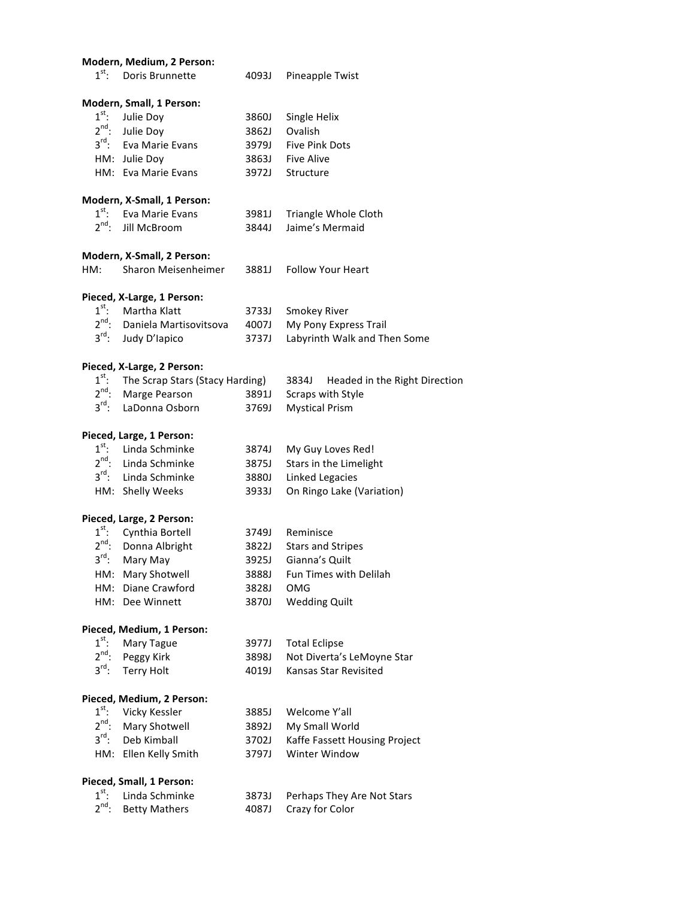|                   | Modern, Medium, 2 Person:       |       |                                        |
|-------------------|---------------------------------|-------|----------------------------------------|
| $1^{\text{st}}$ : | Doris Brunnette                 | 4093J | Pineapple Twist                        |
|                   | Modern, Small, 1 Person:        |       |                                        |
| $1^{\text{st}}$ : | Julie Doy                       | 3860J | Single Helix                           |
|                   | $2^{nd}$ : Julie Doy            | 3862J | Ovalish                                |
|                   | 3rd: Eva Marie Evans            | 3979J | <b>Five Pink Dots</b>                  |
|                   | HM: Julie Doy                   | 3863J | <b>Five Alive</b>                      |
|                   | HM: Eva Marie Evans             | 3972J | Structure                              |
|                   | Modern, X-Small, 1 Person:      |       |                                        |
| $1^{\text{st}}$ : | Eva Marie Evans                 | 3981J | Triangle Whole Cloth                   |
| $2^{nd}$ :        | Jill McBroom                    | 3844J | Jaime's Mermaid                        |
|                   | Modern, X-Small, 2 Person:      |       |                                        |
| HM:               | Sharon Meisenheimer             | 3881J | <b>Follow Your Heart</b>               |
|                   | Pieced, X-Large, 1 Person:      |       |                                        |
| $1^{\text{st}}$ : | Martha Klatt                    | 3733J | <b>Smokey River</b>                    |
| $2^{nd}$ :        | Daniela Martisovitsova          | 4007J | My Pony Express Trail                  |
| $3^{\text{rd}}$ : | Judy D'Iapico                   | 3737J | Labyrinth Walk and Then Some           |
|                   | Pieced, X-Large, 2 Person:      |       |                                        |
| $1^{\text{st}}$ : | The Scrap Stars (Stacy Harding) |       | 3834J<br>Headed in the Right Direction |
| $2^{nd}$ :        | Marge Pearson                   | 3891J | Scraps with Style                      |
| $3^{\text{rd}}$ : | LaDonna Osborn                  | 3769J | <b>Mystical Prism</b>                  |
|                   | Pieced, Large, 1 Person:        |       |                                        |
| $1^{\text{st}}$ : | Linda Schminke                  | 3874J | My Guy Loves Red!                      |
|                   | $2^{nd}$ : Linda Schminke       | 3875J | Stars in the Limelight                 |
| $3^{\text{rd}}$ : | Linda Schminke                  | 3880J | <b>Linked Legacies</b>                 |
|                   | HM: Shelly Weeks                | 3933J | On Ringo Lake (Variation)              |
|                   | Pieced, Large, 2 Person:        |       |                                        |
| $1^{\text{st}}$ : | Cynthia Bortell                 | 3749J | Reminisce                              |
| $2^{nd}$ :        | Donna Albright                  | 3822J | <b>Stars and Stripes</b>               |
| $3^{\text{rd}}$ : | Mary May                        | 3925J | Gianna's Quilt                         |
|                   | HM: Mary Shotwell               | 3888J | Fun Times with Delilah                 |
|                   | HM: Diane Crawford              | 3828J | <b>OMG</b>                             |
|                   | HM: Dee Winnett                 | 3870J | <b>Wedding Quilt</b>                   |
|                   | Pieced, Medium, 1 Person:       |       |                                        |
| $1^{\text{st}}$ : | Mary Tague                      | 3977J | <b>Total Eclipse</b>                   |
| $2^{nd}$ :        | Peggy Kirk                      | 3898J | Not Diverta's LeMoyne Star             |
| $3^{\text{rd}}$ : | <b>Terry Holt</b>               | 4019J | Kansas Star Revisited                  |
|                   | Pieced, Medium, 2 Person:       |       |                                        |
| $1^{\text{st}}$ : | Vicky Kessler                   | 3885J | Welcome Y'all                          |
| $2^{nd}$ :        | Mary Shotwell                   | 3892J | My Small World                         |
| $3^{\text{rd}}$ : | Deb Kimball                     | 3702J | Kaffe Fassett Housing Project          |
|                   | HM: Ellen Kelly Smith           | 3797J | Winter Window                          |
|                   | Pieced, Small, 1 Person:        |       |                                        |
| $1^{\text{st}}$ : | Linda Schminke                  | 3873J | Perhaps They Are Not Stars             |
| $2^{nd}$ :        | <b>Betty Mathers</b>            | 4087J | Crazy for Color                        |
|                   |                                 |       |                                        |